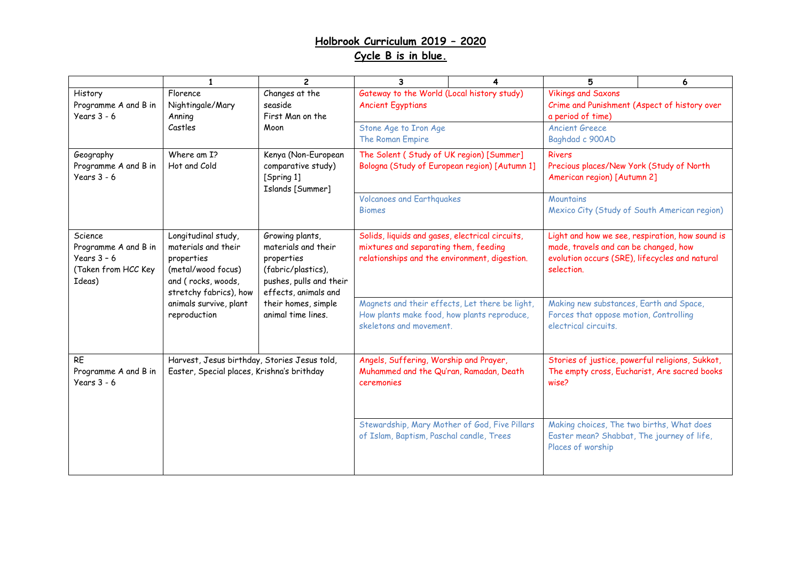## **Holbrook Curriculum 2019 – 2020 Cycle B is in blue.**

|                                                                                   | $\mathbf{1}$                                                                                                                                                             | $\overline{2}$                                                                                                                                                             | 3                                                                                                                                         | 4                                                                                                            | 5                                                                                                                                                        | 6 |
|-----------------------------------------------------------------------------------|--------------------------------------------------------------------------------------------------------------------------------------------------------------------------|----------------------------------------------------------------------------------------------------------------------------------------------------------------------------|-------------------------------------------------------------------------------------------------------------------------------------------|--------------------------------------------------------------------------------------------------------------|----------------------------------------------------------------------------------------------------------------------------------------------------------|---|
| History<br>Programme A and B in<br>Years $3 - 6$                                  | Florence<br>Nightingale/Mary<br>Anning<br>Castles                                                                                                                        | Changes at the<br>seaside<br>First Man on the<br>Moon                                                                                                                      | Gateway to the World (Local history study)<br><b>Ancient Egyptians</b>                                                                    |                                                                                                              | <b>Vikings and Saxons</b><br>Crime and Punishment (Aspect of history over<br>a period of time)                                                           |   |
|                                                                                   |                                                                                                                                                                          |                                                                                                                                                                            | Stone Age to Iron Age<br>The Roman Empire                                                                                                 |                                                                                                              | <b>Ancient Greece</b><br>Baghdad c 900AD                                                                                                                 |   |
| Geography<br>Programme A and B in<br>Years $3 - 6$                                | Where am I?<br>Hot and Cold                                                                                                                                              | Kenya (Non-European<br>comparative study)<br>[Spring 1]<br>Islands [Summer]                                                                                                | The Solent (Study of UK region) [Summer]<br>Bologna (Study of European region) [Autumn 1]                                                 |                                                                                                              | <b>Rivers</b><br>Precious places/New York (Study of North<br>American region) [Autumn 2]                                                                 |   |
|                                                                                   |                                                                                                                                                                          |                                                                                                                                                                            | <b>Volcanoes and Earthquakes</b><br><b>Biomes</b>                                                                                         |                                                                                                              | Mountains<br>Mexico City (Study of South American region)                                                                                                |   |
| Science<br>Programme A and B in<br>Years $3 - 6$<br>(Taken from HCC Key<br>Ideas) | Longitudinal study,<br>materials and their<br>properties<br>(metal/wood focus)<br>and (rocks, woods,<br>stretchy fabrics), how<br>animals survive, plant<br>reproduction | Growing plants,<br>materials and their<br>properties<br>(fabric/plastics),<br>pushes, pulls and their<br>effects, animals and<br>their homes, simple<br>animal time lines. | Solids, liquids and gases, electrical circuits,<br>mixtures and separating them, feeding<br>relationships and the environment, digestion. |                                                                                                              | Light and how we see, respiration, how sound is<br>made, travels and can be changed, how<br>evolution occurs (SRE), lifecycles and natural<br>selection. |   |
|                                                                                   |                                                                                                                                                                          |                                                                                                                                                                            | Magnets and their effects, Let there be light,<br>How plants make food, how plants reproduce,<br>skeletons and movement.                  |                                                                                                              | Making new substances, Earth and Space,<br>Forces that oppose motion, Controlling<br>electrical circuits.                                                |   |
| <b>RE</b><br>Programme A and B in<br>Years $3 - 6$                                | Harvest, Jesus birthday, Stories Jesus told,<br>Easter, Special places, Krishna's brithday                                                                               |                                                                                                                                                                            | Angels, Suffering, Worship and Prayer,<br>Muhammed and the Qu'ran, Ramadan, Death<br>ceremonies                                           |                                                                                                              | Stories of justice, powerful religions, Sukkot,<br>The empty cross, Eucharist, Are sacred books<br>wise?                                                 |   |
|                                                                                   |                                                                                                                                                                          | Stewardship, Mary Mother of God, Five Pillars<br>of Islam, Baptism, Paschal candle, Trees                                                                                  |                                                                                                                                           | Making choices, The two births, What does<br>Easter mean? Shabbat, The journey of life,<br>Places of worship |                                                                                                                                                          |   |